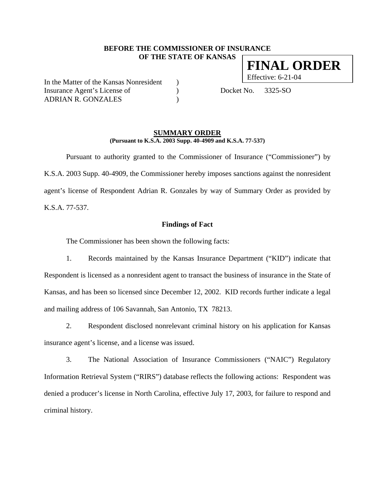#### **BEFORE THE COMMISSIONER OF INSURANCE OF THE STATE OF KANSAS**

In the Matter of the Kansas Nonresident ) Effective: 6-21-04 Insurance Agent's License of (a) Docket No. 3325-SO ADRIAN R. GONZALES )

#### **SUMMARY ORDER (Pursuant to K.S.A. 2003 Supp. 40-4909 and K.S.A. 77-537)**

Pursuant to authority granted to the Commissioner of Insurance ("Commissioner") by K.S.A. 2003 Supp. 40-4909, the Commissioner hereby imposes sanctions against the nonresident agent's license of Respondent Adrian R. Gonzales by way of Summary Order as provided by K.S.A. 77-537.

#### **Findings of Fact**

The Commissioner has been shown the following facts:

1. Records maintained by the Kansas Insurance Department ("KID") indicate that Respondent is licensed as a nonresident agent to transact the business of insurance in the State of Kansas, and has been so licensed since December 12, 2002. KID records further indicate a legal and mailing address of 106 Savannah, San Antonio, TX 78213.

2. Respondent disclosed nonrelevant criminal history on his application for Kansas insurance agent's license, and a license was issued.

3. The National Association of Insurance Commissioners ("NAIC") Regulatory Information Retrieval System ("RIRS") database reflects the following actions: Respondent was denied a producer's license in North Carolina, effective July 17, 2003, for failure to respond and criminal history.

**FINAL ORDER**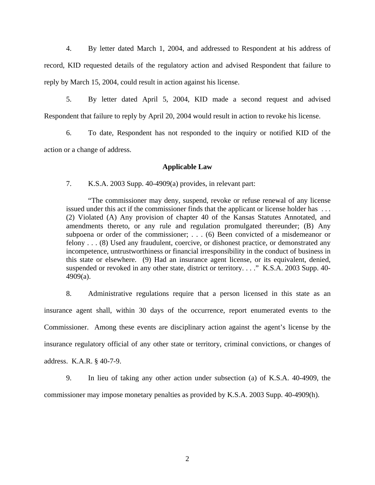4. By letter dated March 1, 2004, and addressed to Respondent at his address of record, KID requested details of the regulatory action and advised Respondent that failure to reply by March 15, 2004, could result in action against his license.

5. By letter dated April 5, 2004, KID made a second request and advised Respondent that failure to reply by April 20, 2004 would result in action to revoke his license.

6. To date, Respondent has not responded to the inquiry or notified KID of the action or a change of address.

## **Applicable Law**

7. K.S.A. 2003 Supp. 40-4909(a) provides, in relevant part:

"The commissioner may deny, suspend, revoke or refuse renewal of any license issued under this act if the commissioner finds that the applicant or license holder has . . . (2) Violated (A) Any provision of chapter 40 of the Kansas Statutes Annotated, and amendments thereto, or any rule and regulation promulgated thereunder; (B) Any subpoena or order of the commissioner; . . . (6) Been convicted of a misdemeanor or felony . . . (8) Used any fraudulent, coercive, or dishonest practice, or demonstrated any incompetence, untrustworthiness or financial irresponsibility in the conduct of business in this state or elsewhere. (9) Had an insurance agent license, or its equivalent, denied, suspended or revoked in any other state, district or territory...." K.S.A. 2003 Supp. 40-4909(a).

8. Administrative regulations require that a person licensed in this state as an insurance agent shall, within 30 days of the occurrence, report enumerated events to the Commissioner. Among these events are disciplinary action against the agent's license by the insurance regulatory official of any other state or territory, criminal convictions, or changes of address. K.A.R. § 40-7-9.

9. In lieu of taking any other action under subsection (a) of K.S.A. 40-4909, the commissioner may impose monetary penalties as provided by K.S.A. 2003 Supp. 40-4909(h).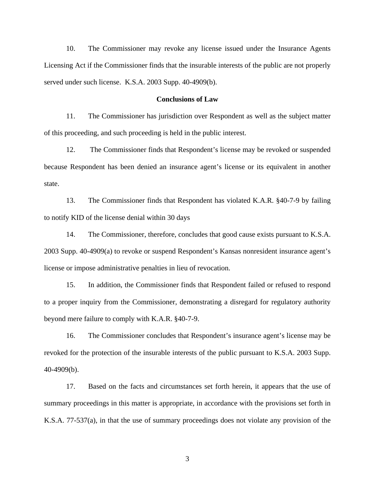10. The Commissioner may revoke any license issued under the Insurance Agents Licensing Act if the Commissioner finds that the insurable interests of the public are not properly served under such license. K.S.A. 2003 Supp. 40-4909(b).

#### **Conclusions of Law**

11. The Commissioner has jurisdiction over Respondent as well as the subject matter of this proceeding, and such proceeding is held in the public interest.

12. The Commissioner finds that Respondent's license may be revoked or suspended because Respondent has been denied an insurance agent's license or its equivalent in another state.

13. The Commissioner finds that Respondent has violated K.A.R. §40-7-9 by failing to notify KID of the license denial within 30 days

14. The Commissioner, therefore, concludes that good cause exists pursuant to K.S.A. 2003 Supp. 40-4909(a) to revoke or suspend Respondent's Kansas nonresident insurance agent's license or impose administrative penalties in lieu of revocation.

15. In addition, the Commissioner finds that Respondent failed or refused to respond to a proper inquiry from the Commissioner, demonstrating a disregard for regulatory authority beyond mere failure to comply with K.A.R. §40-7-9.

16. The Commissioner concludes that Respondent's insurance agent's license may be revoked for the protection of the insurable interests of the public pursuant to K.S.A. 2003 Supp. 40-4909(b).

17. Based on the facts and circumstances set forth herein, it appears that the use of summary proceedings in this matter is appropriate, in accordance with the provisions set forth in K.S.A. 77-537(a), in that the use of summary proceedings does not violate any provision of the

3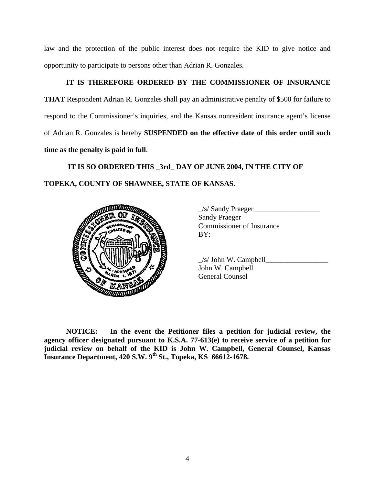law and the protection of the public interest does not require the KID to give notice and opportunity to participate to persons other than Adrian R. Gonzales.

# **IT IS THEREFORE ORDERED BY THE COMMISSIONER OF INSURANCE**

**THAT** Respondent Adrian R. Gonzales shall pay an administrative penalty of \$500 for failure to respond to the Commissioner's inquiries, and the Kansas nonresident insurance agent's license of Adrian R. Gonzales is hereby **SUSPENDED on the effective date of this order until such time as the penalty is paid in full**.

 **IT IS SO ORDERED THIS \_3rd\_ DAY OF JUNE 2004, IN THE CITY OF TOPEKA, COUNTY OF SHAWNEE, STATE OF KANSAS.** 



\_/s/ Sandy Praeger\_\_\_\_\_\_\_\_\_\_\_\_\_\_\_\_\_\_ Sandy Praeger Commissioner of Insurance

 $\angle$ s/ John W. Campbell John W. Campbell

**NOTICE: In the event the Petitioner files a petition for judicial review, the agency officer designated pursuant to K.S.A. 77-613(e) to receive service of a petition for judicial review on behalf of the KID is John W. Campbell, General Counsel, Kansas Insurance Department, 420 S.W. 9th St., Topeka, KS 66612-1678.**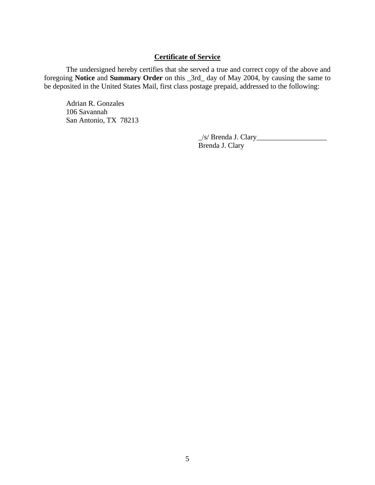# **Certificate of Service**

The undersigned hereby certifies that she served a true and correct copy of the above and foregoing **Notice** and **Summary Order** on this \_3rd\_ day of May 2004, by causing the same to be deposited in the United States Mail, first class postage prepaid, addressed to the following:

Adrian R. Gonzales 106 Savannah San Antonio, TX 78213

> \_/s/ Brenda J. Clary\_\_\_\_\_\_\_\_\_\_\_\_\_\_\_\_\_\_\_ Brenda J. Clary